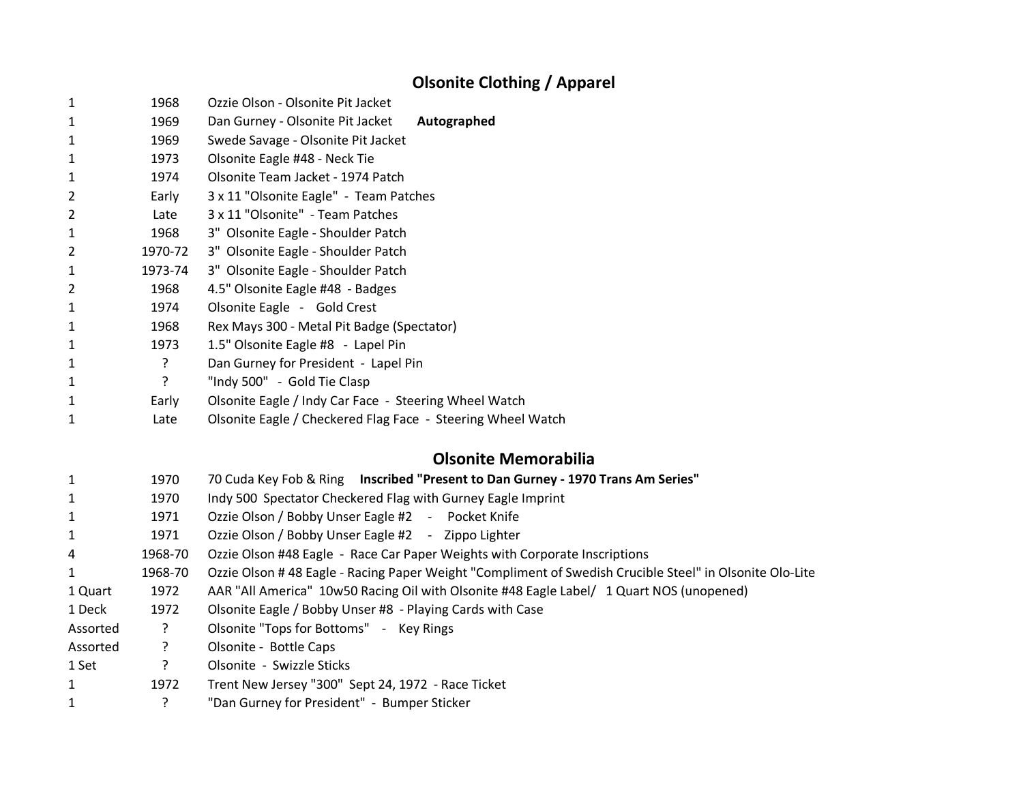## **Olsonite Clothing / Apparel**

| $\mathbf{1}$ | 1968    | Ozzie Olson - Olsonite Pit Jacket                                                                        |
|--------------|---------|----------------------------------------------------------------------------------------------------------|
| 1            | 1969    | Dan Gurney - Olsonite Pit Jacket<br>Autographed                                                          |
| 1            | 1969    | Swede Savage - Olsonite Pit Jacket                                                                       |
| $\mathbf{1}$ | 1973    | Olsonite Eagle #48 - Neck Tie                                                                            |
| 1            | 1974    | Olsonite Team Jacket - 1974 Patch                                                                        |
| 2            | Early   | 3 x 11 "Olsonite Eagle" - Team Patches                                                                   |
| 2            | Late    | 3 x 11 "Olsonite" - Team Patches                                                                         |
| $\mathbf{1}$ | 1968    | 3" Olsonite Eagle - Shoulder Patch                                                                       |
| 2            | 1970-72 | 3" Olsonite Eagle - Shoulder Patch                                                                       |
| 1            | 1973-74 | 3" Olsonite Eagle - Shoulder Patch                                                                       |
| 2            | 1968    | 4.5" Olsonite Eagle #48 - Badges                                                                         |
| 1            | 1974    | Olsonite Eagle - Gold Crest                                                                              |
| $\mathbf{1}$ | 1968    | Rex Mays 300 - Metal Pit Badge (Spectator)                                                               |
| 1            | 1973    | 1.5" Olsonite Eagle #8 - Lapel Pin                                                                       |
| 1            | ?       | Dan Gurney for President - Lapel Pin                                                                     |
| 1            | ?       | "Indy 500" - Gold Tie Clasp                                                                              |
| 1            | Early   | Olsonite Eagle / Indy Car Face - Steering Wheel Watch                                                    |
| 1            | Late    | Olsonite Eagle / Checkered Flag Face - Steering Wheel Watch                                              |
|              |         | <b>Olsonite Memorabilia</b>                                                                              |
| 1            | 1970    | 70 Cuda Key Fob & Ring Inscribed "Present to Dan Gurney - 1970 Trans Am Series"                          |
| 1            | 1970    | Indy 500 Spectator Checkered Flag with Gurney Eagle Imprint                                              |
| 1            | 1971    | Ozzie Olson / Bobby Unser Eagle #2 - Pocket Knife                                                        |
| 1            | 1971    | Ozzie Olson / Bobby Unser Eagle #2 - Zippo Lighter                                                       |
| 4            | 1968-70 | Ozzie Olson #48 Eagle - Race Car Paper Weights with Corporate Inscriptions                               |
| 1            | 1968-70 | Ozzie Olson # 48 Eagle - Racing Paper Weight "Compliment of Swedish Crucible Steel" in Olsonite Olo-Lite |
| 1 Quart      | 1972    | AAR "All America" 10w50 Racing Oil with Olsonite #48 Eagle Label/ 1 Quart NOS (unopened)                 |
| 1 Deck       | 1972    | Olsonite Eagle / Bobby Unser #8 - Playing Cards with Case                                                |
| Assorted     | ?       | Olsonite "Tops for Bottoms" - Key Rings                                                                  |
| Assorted     | ?       | Olsonite - Bottle Caps                                                                                   |
| 1 Set        | ?       | Olsonite - Swizzle Sticks                                                                                |
| 1            | 1972    | Trent New Jersey "300" Sept 24, 1972 - Race Ticket                                                       |
| 1            | ?       | "Dan Gurney for President" - Bumper Sticker                                                              |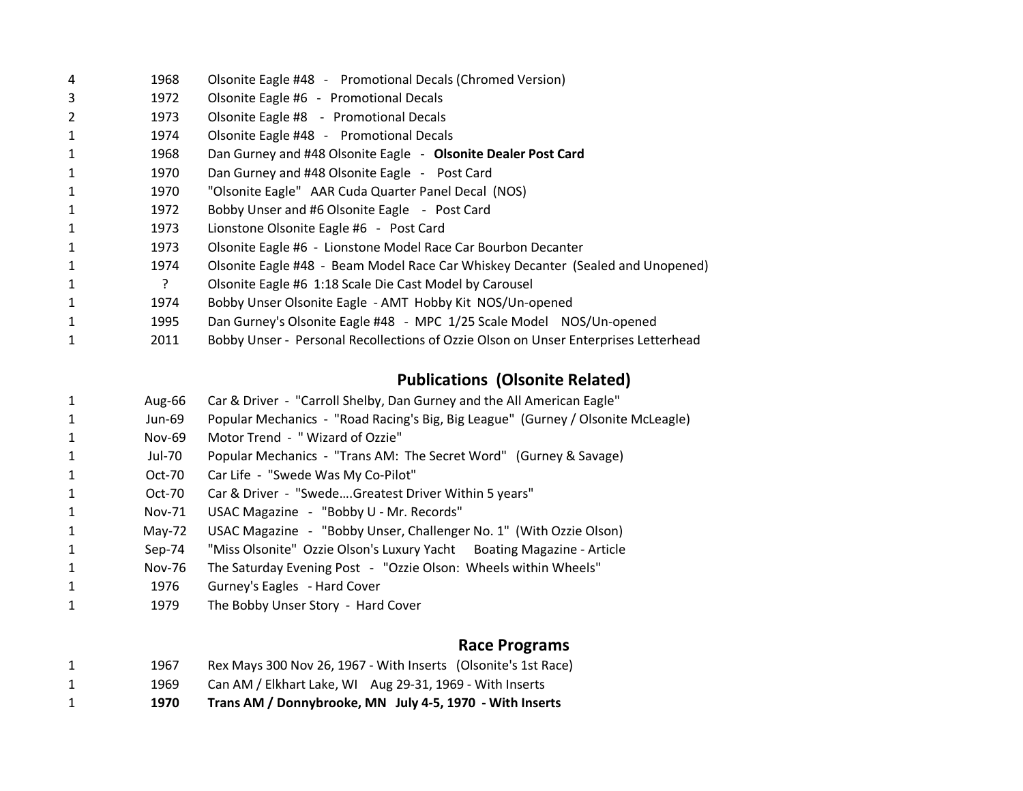| 4              | 1968 | Olsonite Eagle #48 - Promotional Decals (Chromed Version)                           |
|----------------|------|-------------------------------------------------------------------------------------|
| 3              | 1972 | Olsonite Eagle #6 - Promotional Decals                                              |
| $\overline{2}$ | 1973 | Olsonite Eagle #8 - Promotional Decals                                              |
| $\mathbf{1}$   | 1974 | Olsonite Eagle #48 - Promotional Decals                                             |
| $\mathbf{1}$   | 1968 | Dan Gurney and #48 Olsonite Eagle - Olsonite Dealer Post Card                       |
| 1              | 1970 | Dan Gurney and #48 Olsonite Eagle - Post Card                                       |
| $\mathbf{1}$   | 1970 | "Olsonite Eagle" AAR Cuda Quarter Panel Decal (NOS)                                 |
| $\mathbf{1}$   | 1972 | Bobby Unser and #6 Olsonite Eagle - Post Card                                       |
| $\mathbf{1}$   | 1973 | Lionstone Olsonite Eagle #6 - Post Card                                             |
| $\mathbf{1}$   | 1973 | Olsonite Eagle #6 - Lionstone Model Race Car Bourbon Decanter                       |
| $\mathbf{1}$   | 1974 | Olsonite Eagle #48 - Beam Model Race Car Whiskey Decanter (Sealed and Unopened)     |
| $\mathbf{1}$   | ?    | Olsonite Eagle #6 1:18 Scale Die Cast Model by Carousel                             |
| $\mathbf{1}$   | 1974 | Bobby Unser Olsonite Eagle - AMT Hobby Kit NOS/Un-opened                            |
| $\mathbf{1}$   | 1995 | Dan Gurney's Olsonite Eagle #48 - MPC 1/25 Scale Model NOS/Un-opened                |
| 1              | 2011 | Bobby Unser - Personal Recollections of Ozzie Olson on Unser Enterprises Letterhead |

## **Publications (Olsonite Related)**

| 1 | Aug-66   | Car & Driver - "Carroll Shelby, Dan Gurney and the All American Eagle"           |
|---|----------|----------------------------------------------------------------------------------|
| 1 | Jun-69   | Popular Mechanics - "Road Racing's Big, Big League" (Gurney / Olsonite McLeagle) |
| 1 | Nov-69   | Motor Trend - "Wizard of Ozzie"                                                  |
|   | Jul-70   | Popular Mechanics - "Trans AM: The Secret Word" (Gurney & Savage)                |
| 1 | Oct-70   | Car Life - "Swede Was My Co-Pilot"                                               |
| 1 | Oct-70   | Car & Driver - "SwedeGreatest Driver Within 5 years"                             |
| 1 | Nov-71   | USAC Magazine - "Bobby U - Mr. Records"                                          |
|   | $May-72$ | USAC Magazine - "Bobby Unser, Challenger No. 1" (With Ozzie Olson)               |
| 1 | Sep-74   | "Miss Olsonite" Ozzie Olson's Luxury Yacht Boating Magazine - Article            |
| 1 | Nov-76   | The Saturday Evening Post - "Ozzie Olson: Wheels within Wheels"                  |
| 1 | 1976     | Gurney's Eagles - Hard Cover                                                     |
| 1 | 1979     | The Bobby Unser Story - Hard Cover                                               |
|   |          | <b>Race Programs</b>                                                             |
| 1 | 1967     | Rex Mays 300 Nov 26, 1967 - With Inserts (Olsonite's 1st Race)                   |
|   | 1969     | Can AM / Elkhart Lake, WI Aug 29-31, 1969 - With Inserts                         |
|   | 1970     | Trans AM / Donnybrooke, MN July 4-5, 1970 - With Inserts                         |